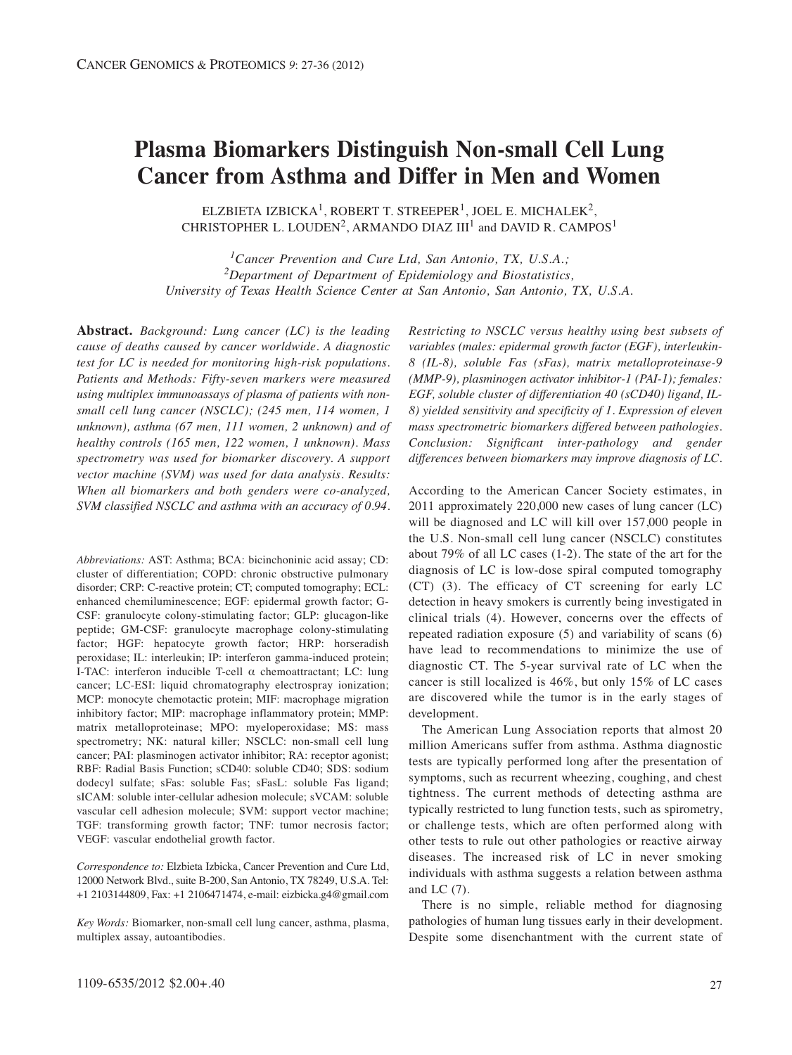# **Plasma Biomarkers Distinguish Non-small Cell Lung Cancer from Asthma and Differ in Men and Women**

ELZBIETA IZBICKA<sup>1</sup>, ROBERT T. STREEPER<sup>1</sup>, JOEL E. MICHALEK<sup>2</sup>, CHRISTOPHER L. LOUDEN<sup>2</sup>, ARMANDO DIAZ  $III<sup>1</sup>$  and DAVID R. CAMPOS<sup>1</sup>

*1Cancer Prevention and Cure Ltd, San Antonio, TX, U.S.A.; 2Department of Department of Epidemiology and Biostatistics, University of Texas Health Science Center at San Antonio, San Antonio, TX, U.S.A.* 

**Abstract.** *Background: Lung cancer (LC) is the leading cause of deaths caused by cancer worldwide. A diagnostic test for LC is needed for monitoring high-risk populations. Patients and Methods: Fifty-seven markers were measured using multiplex immunoassays of plasma of patients with nonsmall cell lung cancer (NSCLC); (245 men, 114 women, 1 unknown), asthma (67 men, 111 women, 2 unknown) and of healthy controls (165 men, 122 women, 1 unknown). Mass spectrometry was used for biomarker discovery. A support vector machine (SVM) was used for data analysis. Results: When all biomarkers and both genders were co-analyzed, SVM classified NSCLC and asthma with an accuracy of 0.94.*

*Abbreviations:* AST: Asthma; BCA: bicinchoninic acid assay; CD: cluster of differentiation; COPD: chronic obstructive pulmonary disorder; CRP: C-reactive protein; CT; computed tomography; ECL: enhanced chemiluminescence; EGF: epidermal growth factor; G-CSF: granulocyte colony-stimulating factor; GLP: glucagon-like peptide; GM-CSF: granulocyte macrophage colony-stimulating factor; HGF: hepatocyte growth factor; HRP: horseradish peroxidase; IL: interleukin; IP: interferon gamma-induced protein; I-TAC: interferon inducible T-cell α chemoattractant; LC: lung cancer; LC-ESI: liquid chromatography electrospray ionization; MCP: monocyte chemotactic protein; MIF: macrophage migration inhibitory factor; MIP: macrophage inflammatory protein; MMP: matrix metalloproteinase; MPO: myeloperoxidase; MS: mass spectrometry; NK: natural killer; NSCLC: non-small cell lung cancer; PAI: plasminogen activator inhibitor; RA: receptor agonist; RBF: Radial Basis Function; sCD40: soluble CD40; SDS: sodium dodecyl sulfate; sFas: soluble Fas; sFasL: soluble Fas ligand; sICAM: soluble inter-cellular adhesion molecule; sVCAM: soluble vascular cell adhesion molecule; SVM: support vector machine; TGF: transforming growth factor; TNF: tumor necrosis factor; VEGF: vascular endothelial growth factor.

*Correspondence to:* Elzbieta Izbicka, Cancer Prevention and Cure Ltd, 12000 Network Blvd., suite B-200, San Antonio, TX 78249, U.S.A. Tel: +1 2103144809, Fax: +1 2106471474, e-mail: eizbicka.g4@gmail.com

*Key Words:* Biomarker, non-small cell lung cancer, asthma, plasma, multiplex assay, autoantibodies.

*Restricting to NSCLC versus healthy using best subsets of variables (males: epidermal growth factor (EGF), interleukin-8 (IL-8), soluble Fas (sFas), matrix metalloproteinase-9 (MMP-9), plasminogen activator inhibitor-1 (PAI-1); females: EGF, soluble cluster of differentiation 40 (sCD40) ligand, IL-8) yielded sensitivity and specificity of 1. Expression of eleven mass spectrometric biomarkers differed between pathologies. Conclusion: Significant inter-pathology and gender differences between biomarkers may improve diagnosis of LC.* 

According to the American Cancer Society estimates, in 2011 approximately 220,000 new cases of lung cancer (LC) will be diagnosed and LC will kill over 157,000 people in the U.S. Non-small cell lung cancer (NSCLC) constitutes about 79% of all LC cases (1-2). The state of the art for the diagnosis of LC is low-dose spiral computed tomography (CT) (3). The efficacy of CT screening for early LC detection in heavy smokers is currently being investigated in clinical trials (4). However, concerns over the effects of repeated radiation exposure (5) and variability of scans (6) have lead to recommendations to minimize the use of diagnostic CT. The 5-year survival rate of LC when the cancer is still localized is 46%, but only 15% of LC cases are discovered while the tumor is in the early stages of development.

The American Lung Association reports that almost 20 million Americans suffer from asthma. Asthma diagnostic tests are typically performed long after the presentation of symptoms, such as recurrent wheezing, coughing, and chest tightness. The current methods of detecting asthma are typically restricted to lung function tests, such as spirometry, or challenge tests, which are often performed along with other tests to rule out other pathologies or reactive airway diseases. The increased risk of LC in never smoking individuals with asthma suggests a relation between asthma and LC (7).

There is no simple, reliable method for diagnosing pathologies of human lung tissues early in their development. Despite some disenchantment with the current state of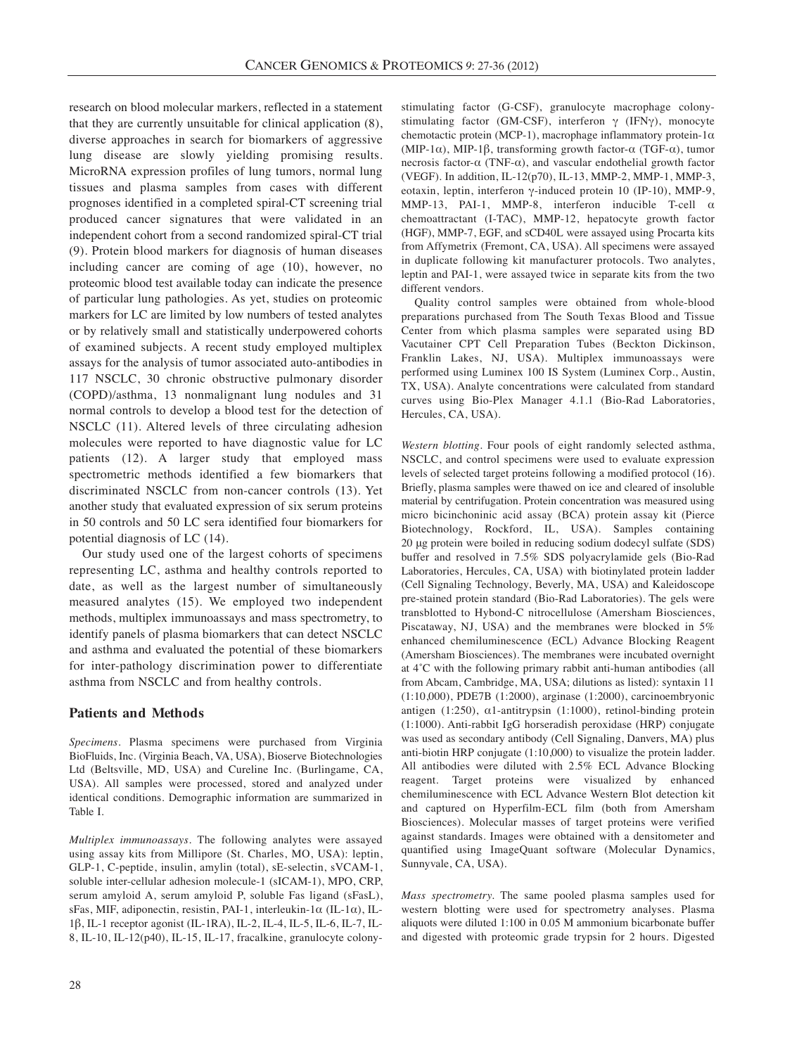research on blood molecular markers, reflected in a statement that they are currently unsuitable for clinical application (8), diverse approaches in search for biomarkers of aggressive lung disease are slowly yielding promising results. MicroRNA expression profiles of lung tumors, normal lung tissues and plasma samples from cases with different prognoses identified in a completed spiral-CT screening trial produced cancer signatures that were validated in an independent cohort from a second randomized spiral-CT trial (9). Protein blood markers for diagnosis of human diseases including cancer are coming of age (10), however, no proteomic blood test available today can indicate the presence of particular lung pathologies. As yet, studies on proteomic markers for LC are limited by low numbers of tested analytes or by relatively small and statistically underpowered cohorts of examined subjects. A recent study employed multiplex assays for the analysis of tumor associated auto-antibodies in 117 NSCLC, 30 chronic obstructive pulmonary disorder (COPD)/asthma, 13 nonmalignant lung nodules and 31 normal controls to develop a blood test for the detection of NSCLC (11). Altered levels of three circulating adhesion molecules were reported to have diagnostic value for LC patients (12). A larger study that employed mass spectrometric methods identified a few biomarkers that discriminated NSCLC from non-cancer controls (13). Yet another study that evaluated expression of six serum proteins in 50 controls and 50 LC sera identified four biomarkers for potential diagnosis of LC (14).

Our study used one of the largest cohorts of specimens representing LC, asthma and healthy controls reported to date, as well as the largest number of simultaneously measured analytes (15). We employed two independent methods, multiplex immunoassays and mass spectrometry, to identify panels of plasma biomarkers that can detect NSCLC and asthma and evaluated the potential of these biomarkers for inter-pathology discrimination power to differentiate asthma from NSCLC and from healthy controls.

## **Patients and Methods**

*Specimens.* Plasma specimens were purchased from Virginia BioFluids, Inc. (Virginia Beach, VA, USA), Bioserve Biotechnologies Ltd (Beltsville, MD, USA) and Cureline Inc. (Burlingame, CA, USA). All samples were processed, stored and analyzed under identical conditions. Demographic information are summarized in Table I.

*Multiplex immunoassays.* The following analytes were assayed using assay kits from Millipore (St. Charles, MO, USA): leptin, GLP-1, C-peptide, insulin, amylin (total), sE-selectin, sVCAM-1, soluble inter-cellular adhesion molecule-1 (sICAM-1), MPO, CRP, serum amyloid A, serum amyloid P, soluble Fas ligand (sFasL), sFas, MIF, adiponectin, resistin, PAI-1, interleukin-1 $\alpha$  (IL-1 $\alpha$ ), IL-1β, IL-1 receptor agonist (IL-1RA), IL-2, IL-4, IL-5, IL-6, IL-7, IL-8, IL-10, IL-12(p40), IL-15, IL-17, fracalkine, granulocyte colonystimulating factor (G-CSF), granulocyte macrophage colonystimulating factor (GM-CSF), interferon γ (IFNγ), monocyte chemotactic protein (MCP-1), macrophage inflammatory protein-1α (MIP-1 $\alpha$ ), MIP-1 $\beta$ , transforming growth factor- $\alpha$  (TGF- $\alpha$ ), tumor necrosis factor-α (TNF-α), and vascular endothelial growth factor (VEGF). In addition, IL-12(p70), IL-13, MMP-2, MMP-1, MMP-3, eotaxin, leptin, interferon γ-induced protein 10 (IP-10), MMP-9, MMP-13, PAI-1, MMP-8, interferon inducible T-cell α chemoattractant (I-TAC), MMP-12, hepatocyte growth factor (HGF), MMP-7, EGF, and sCD40L were assayed using Procarta kits from Affymetrix (Fremont, CA, USA). All specimens were assayed in duplicate following kit manufacturer protocols. Two analytes, leptin and PAI-1, were assayed twice in separate kits from the two different vendors.

Quality control samples were obtained from whole-blood preparations purchased from The South Texas Blood and Tissue Center from which plasma samples were separated using BD Vacutainer CPT Cell Preparation Tubes (Beckton Dickinson, Franklin Lakes, NJ, USA). Multiplex immunoassays were performed using Luminex 100 IS System (Luminex Corp., Austin, TX, USA). Analyte concentrations were calculated from standard curves using Bio-Plex Manager 4.1.1 (Bio-Rad Laboratories, Hercules, CA, USA).

*Western blotting.* Four pools of eight randomly selected asthma, NSCLC, and control specimens were used to evaluate expression levels of selected target proteins following a modified protocol (16). Briefly, plasma samples were thawed on ice and cleared of insoluble material by centrifugation. Protein concentration was measured using micro bicinchoninic acid assay (BCA) protein assay kit (Pierce Biotechnology, Rockford, IL, USA). Samples containing 20 μg protein were boiled in reducing sodium dodecyl sulfate (SDS) buffer and resolved in 7.5% SDS polyacrylamide gels (Bio-Rad Laboratories, Hercules, CA, USA) with biotinylated protein ladder (Cell Signaling Technology, Beverly, MA, USA) and Kaleidoscope pre-stained protein standard (Bio-Rad Laboratories). The gels were transblotted to Hybond-C nitrocellulose (Amersham Biosciences, Piscataway, NJ, USA) and the membranes were blocked in 5% enhanced chemiluminescence (ECL) Advance Blocking Reagent (Amersham Biosciences). The membranes were incubated overnight at 4˚C with the following primary rabbit anti-human antibodies (all from Abcam, Cambridge, MA, USA; dilutions as listed): syntaxin 11 (1:10,000), PDE7B (1:2000), arginase (1:2000), carcinoembryonic antigen (1:250),  $\alpha$ 1-antitrypsin (1:1000), retinol-binding protein (1:1000). Anti-rabbit IgG horseradish peroxidase (HRP) conjugate was used as secondary antibody (Cell Signaling, Danvers, MA) plus anti-biotin HRP conjugate (1:10,000) to visualize the protein ladder. All antibodies were diluted with 2.5% ECL Advance Blocking reagent. Target proteins were visualized by enhanced chemiluminescence with ECL Advance Western Blot detection kit and captured on Hyperfilm-ECL film (both from Amersham Biosciences). Molecular masses of target proteins were verified against standards. Images were obtained with a densitometer and quantified using ImageQuant software (Molecular Dynamics, Sunnyvale, CA, USA).

*Mass spectrometry.* The same pooled plasma samples used for western blotting were used for spectrometry analyses. Plasma aliquots were diluted 1:100 in 0.05 M ammonium bicarbonate buffer and digested with proteomic grade trypsin for 2 hours. Digested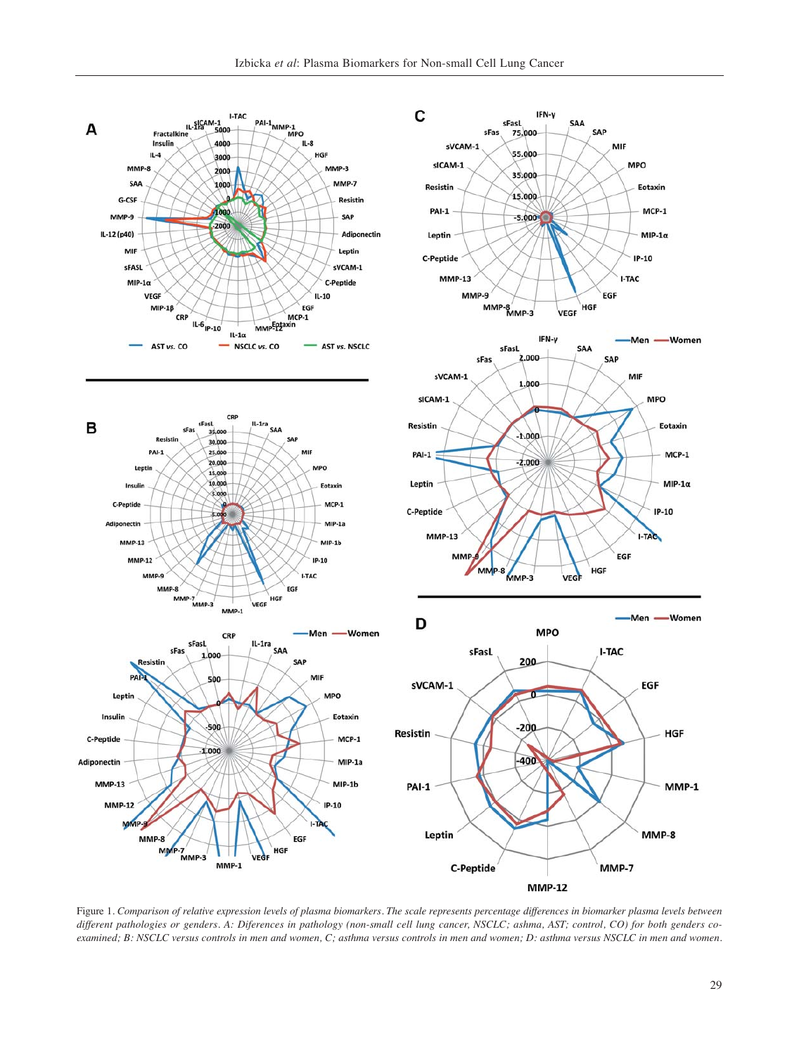

Figure 1. *Comparison of relative expression levels of plasma biomarkers. The scale represents percentage differences in biomarker plasma levels between different pathologies or genders. A: Diferences in pathology (non-small cell lung cancer, NSCLC; ashma, AST; control, CO) for both genders coexamined; B: NSCLC versus controls in men and women, C; asthma versus controls in men and women; D: asthma versus NSCLC in men and women.*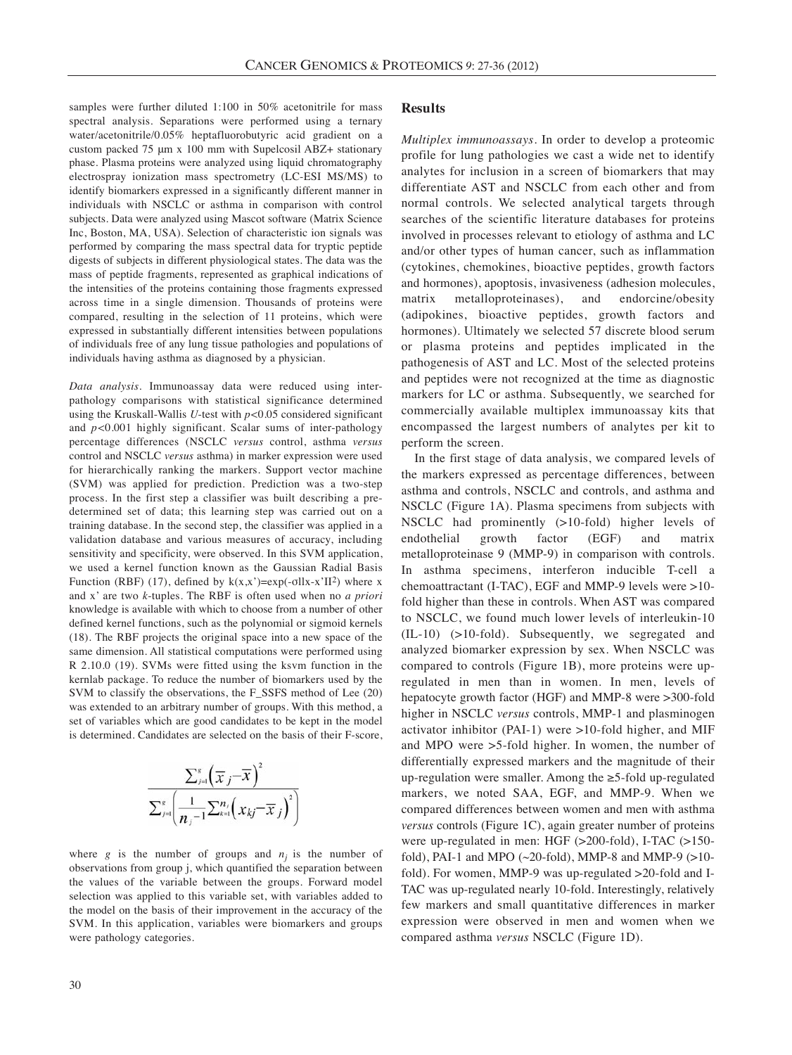samples were further diluted 1:100 in 50% acetonitrile for mass spectral analysis. Separations were performed using a ternary water/acetonitrile/0.05% heptafluorobutyric acid gradient on a custom packed 75 μm x 100 mm with Supelcosil ABZ+ stationary phase. Plasma proteins were analyzed using liquid chromatography electrospray ionization mass spectrometry (LC-ESI MS/MS) to identify biomarkers expressed in a significantly different manner in individuals with NSCLC or asthma in comparison with control subjects. Data were analyzed using Mascot software (Matrix Science Inc, Boston, MA, USA). Selection of characteristic ion signals was performed by comparing the mass spectral data for tryptic peptide digests of subjects in different physiological states. The data was the mass of peptide fragments, represented as graphical indications of the intensities of the proteins containing those fragments expressed across time in a single dimension. Thousands of proteins were compared, resulting in the selection of 11 proteins, which were expressed in substantially different intensities between populations of individuals free of any lung tissue pathologies and populations of individuals having asthma as diagnosed by a physician.

*Data analysis.* Immunoassay data were reduced using interpathology comparisons with statistical significance determined using the Kruskall-Wallis *U*-test with *p<*0.05 considered significant and *p<*0.001 highly significant. Scalar sums of inter-pathology percentage differences (NSCLC *versus* control, asthma *versus* control and NSCLC *versus* asthma) in marker expression were used for hierarchically ranking the markers. Support vector machine (SVM) was applied for prediction. Prediction was a two-step process. In the first step a classifier was built describing a predetermined set of data; this learning step was carried out on a training database. In the second step, the classifier was applied in a validation database and various measures of accuracy, including sensitivity and specificity, were observed. In this SVM application, we used a kernel function known as the Gaussian Radial Basis Function (RBF) (17), defined by  $k(x,x')=exp(-\sigma llx-x'II^2)$  where x and x' are two *k*-tuples. The RBF is often used when no *a priori* knowledge is available with which to choose from a number of other defined kernel functions, such as the polynomial or sigmoid kernels (18). The RBF projects the original space into a new space of the same dimension. All statistical computations were performed using R 2.10.0 (19). SVMs were fitted using the ksvm function in the kernlab package. To reduce the number of biomarkers used by the SVM to classify the observations, the F\_SSFS method of Lee (20) was extended to an arbitrary number of groups. With this method, a set of variables which are good candidates to be kept in the model is determined. Candidates are selected on the basis of their F-score,

$$
\frac{\sum_{j=1}^s \!\!\left(\overline{x}_j\!\!-\!\!\overline{x}\right)^2\!}{\sum_{j=1}^s \!\!\left(\!\frac{1}{n_j\!-\!1}\!\sum_{k=1}^{n_j}\!\!\left(\vphantom{x_{kj}}\right.\!\!\!\!\!-\!\!\overline{x}_j\right)^2\right)}
$$

where *g* is the number of groups and  $n<sub>i</sub>$  is the number of observations from group j, which quantified the separation between the values of the variable between the groups. Forward model selection was applied to this variable set, with variables added to the model on the basis of their improvement in the accuracy of the SVM. In this application, variables were biomarkers and groups were pathology categories.

#### **Results**

*Multiplex immunoassays.* In order to develop a proteomic profile for lung pathologies we cast a wide net to identify analytes for inclusion in a screen of biomarkers that may differentiate AST and NSCLC from each other and from normal controls. We selected analytical targets through searches of the scientific literature databases for proteins involved in processes relevant to etiology of asthma and LC and/or other types of human cancer, such as inflammation (cytokines, chemokines, bioactive peptides, growth factors and hormones), apoptosis, invasiveness (adhesion molecules, matrix metalloproteinases), and endorcine/obesity (adipokines, bioactive peptides, growth factors and hormones). Ultimately we selected 57 discrete blood serum or plasma proteins and peptides implicated in the pathogenesis of AST and LC. Most of the selected proteins and peptides were not recognized at the time as diagnostic markers for LC or asthma. Subsequently, we searched for commercially available multiplex immunoassay kits that encompassed the largest numbers of analytes per kit to perform the screen.

In the first stage of data analysis, we compared levels of the markers expressed as percentage differences, between asthma and controls, NSCLC and controls, and asthma and NSCLC (Figure 1A). Plasma specimens from subjects with NSCLC had prominently (>10-fold) higher levels of endothelial growth factor (EGF) and matrix metalloproteinase 9 (MMP-9) in comparison with controls. In asthma specimens, interferon inducible T-cell a chemoattractant (I-TAC), EGF and MMP-9 levels were >10 fold higher than these in controls. When AST was compared to NSCLC, we found much lower levels of interleukin-10 (IL-10) (>10-fold). Subsequently, we segregated and analyzed biomarker expression by sex. When NSCLC was compared to controls (Figure 1B), more proteins were upregulated in men than in women. In men, levels of hepatocyte growth factor (HGF) and MMP-8 were >300-fold higher in NSCLC *versus* controls, MMP-1 and plasminogen activator inhibitor (PAI-1) were >10-fold higher, and MIF and MPO were >5-fold higher. In women, the number of differentially expressed markers and the magnitude of their up-regulation were smaller. Among the ≥5-fold up-regulated markers, we noted SAA, EGF, and MMP-9. When we compared differences between women and men with asthma *versus* controls (Figure 1C), again greater number of proteins were up-regulated in men: HGF (>200-fold), I-TAC (>150 fold), PAI-1 and MPO ( $\sim$ 20-fold), MMP-8 and MMP-9 ( $>$ 10fold). For women, MMP-9 was up-regulated >20-fold and I-TAC was up-regulated nearly 10-fold. Interestingly, relatively few markers and small quantitative differences in marker expression were observed in men and women when we compared asthma *versus* NSCLC (Figure 1D).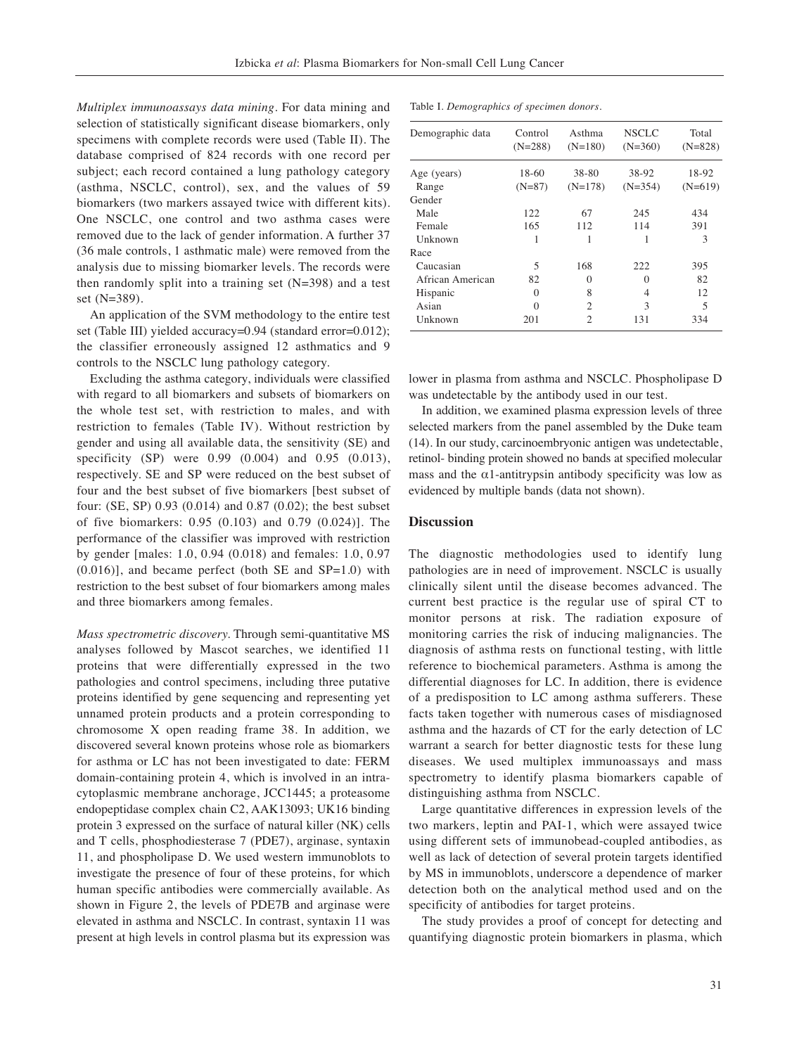*Multiplex immunoassays data mining.* For data mining and selection of statistically significant disease biomarkers, only specimens with complete records were used (Table II). The database comprised of 824 records with one record per subject; each record contained a lung pathology category (asthma, NSCLC, control), sex, and the values of 59 biomarkers (two markers assayed twice with different kits). One NSCLC, one control and two asthma cases were removed due to the lack of gender information. A further 37 (36 male controls, 1 asthmatic male) were removed from the analysis due to missing biomarker levels. The records were then randomly split into a training set (N=398) and a test set (N=389).

An application of the SVM methodology to the entire test set (Table III) yielded accuracy=0.94 (standard error=0.012); the classifier erroneously assigned 12 asthmatics and 9 controls to the NSCLC lung pathology category.

Excluding the asthma category, individuals were classified with regard to all biomarkers and subsets of biomarkers on the whole test set, with restriction to males, and with restriction to females (Table IV). Without restriction by gender and using all available data, the sensitivity (SE) and specificity (SP) were 0.99 (0.004) and 0.95 (0.013), respectively. SE and SP were reduced on the best subset of four and the best subset of five biomarkers [best subset of four: (SE, SP) 0.93 (0.014) and 0.87 (0.02); the best subset of five biomarkers: 0.95 (0.103) and 0.79 (0.024)]. The performance of the classifier was improved with restriction by gender [males: 1.0, 0.94 (0.018) and females: 1.0, 0.97  $(0.016)$ ], and became perfect (both SE and SP=1.0) with restriction to the best subset of four biomarkers among males and three biomarkers among females.

*Mass spectrometric discovery.* Through semi-quantitative MS analyses followed by Mascot searches, we identified 11 proteins that were differentially expressed in the two pathologies and control specimens, including three putative proteins identified by gene sequencing and representing yet unnamed protein products and a protein corresponding to chromosome X open reading frame 38. In addition, we discovered several known proteins whose role as biomarkers for asthma or LC has not been investigated to date: FERM domain-containing protein 4, which is involved in an intracytoplasmic membrane anchorage, JCC1445; a proteasome endopeptidase complex chain C2, AAK13093; UK16 binding protein 3 expressed on the surface of natural killer (NK) cells and T cells, phosphodiesterase 7 (PDE7), arginase, syntaxin 11, and phospholipase D. We used western immunoblots to investigate the presence of four of these proteins, for which human specific antibodies were commercially available. As shown in Figure 2, the levels of PDE7B and arginase were elevated in asthma and NSCLC. In contrast, syntaxin 11 was present at high levels in control plasma but its expression was

| Table I. Demographics of specimen donors. |  |  |  |
|-------------------------------------------|--|--|--|
|-------------------------------------------|--|--|--|

| Demographic data | Control<br>$(N=288)$ | Asthma<br>$(N=180)$         | <b>NSCLC</b><br>$(N=360)$ | Total<br>$(N=828)$ |  |
|------------------|----------------------|-----------------------------|---------------------------|--------------------|--|
| Age (years)      | 18-60                | 38-80                       | 38-92                     | 18-92              |  |
| Range            | $(N=87)$             | $(N=178)$                   | $(N=354)$                 | $(N=619)$          |  |
| Gender           |                      |                             |                           |                    |  |
| Male             | 122                  | 67                          | 245                       | 434                |  |
| 165<br>Female    |                      | 112                         | 114                       | 391                |  |
| Unknown          | 1                    | 1                           | 1                         | 3                  |  |
| Race             |                      |                             |                           |                    |  |
| Caucasian        | 5                    | 168                         | 222                       | 395                |  |
| African American | 82                   | $\Omega$                    | $\Omega$                  | 82                 |  |
| Hispanic         | $\Omega$             | 8                           | 4                         | 12                 |  |
| Asian            | $\Omega$             | $\overline{2}$              | 3                         | 5                  |  |
| Unknown          | 201                  | $\mathcal{D}_{\mathcal{A}}$ | 131                       | 334                |  |

lower in plasma from asthma and NSCLC. Phospholipase D was undetectable by the antibody used in our test.

In addition, we examined plasma expression levels of three selected markers from the panel assembled by the Duke team (14). In our study, carcinoembryonic antigen was undetectable, retinol- binding protein showed no bands at specified molecular mass and the  $\alpha$ 1-antitrypsin antibody specificity was low as evidenced by multiple bands (data not shown).

## **Discussion**

The diagnostic methodologies used to identify lung pathologies are in need of improvement. NSCLC is usually clinically silent until the disease becomes advanced. The current best practice is the regular use of spiral CT to monitor persons at risk. The radiation exposure of monitoring carries the risk of inducing malignancies. The diagnosis of asthma rests on functional testing, with little reference to biochemical parameters. Asthma is among the differential diagnoses for LC. In addition, there is evidence of a predisposition to LC among asthma sufferers. These facts taken together with numerous cases of misdiagnosed asthma and the hazards of CT for the early detection of LC warrant a search for better diagnostic tests for these lung diseases. We used multiplex immunoassays and mass spectrometry to identify plasma biomarkers capable of distinguishing asthma from NSCLC.

Large quantitative differences in expression levels of the two markers, leptin and PAI-1, which were assayed twice using different sets of immunobead-coupled antibodies, as well as lack of detection of several protein targets identified by MS in immunoblots, underscore a dependence of marker detection both on the analytical method used and on the specificity of antibodies for target proteins.

The study provides a proof of concept for detecting and quantifying diagnostic protein biomarkers in plasma, which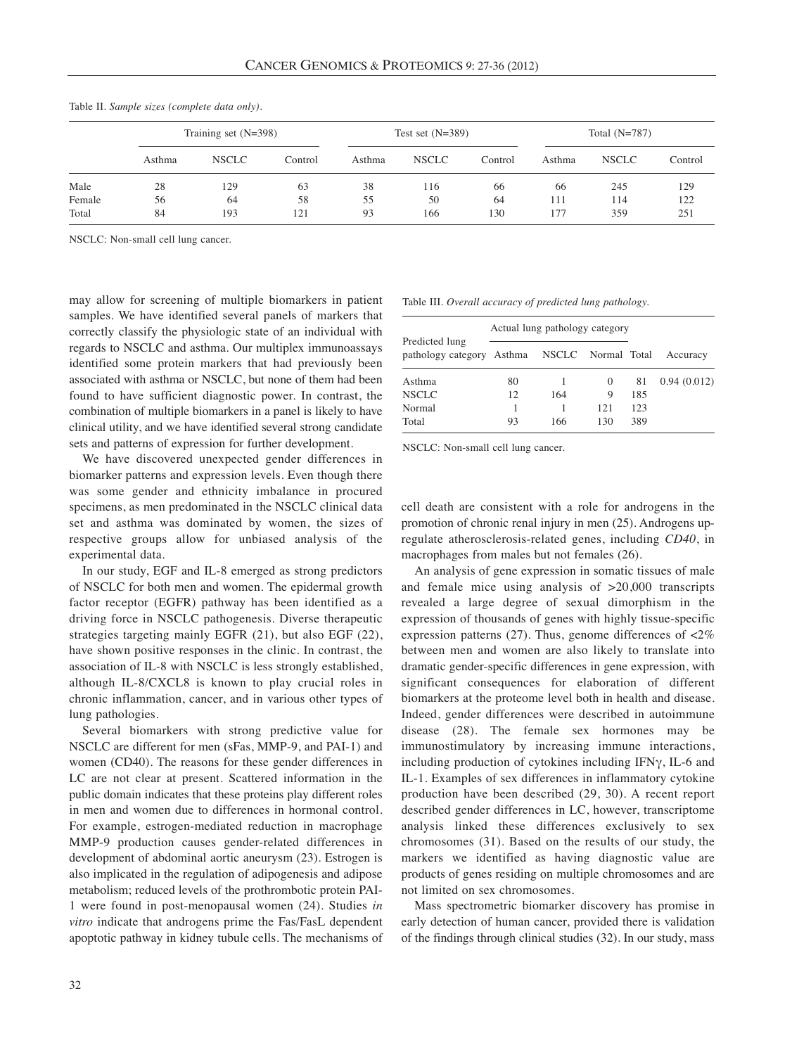|                 | Training set $(N=398)$ |              |           | Test set $(N=389)$ |              |           | Total $(N=787)$ |              |            |
|-----------------|------------------------|--------------|-----------|--------------------|--------------|-----------|-----------------|--------------|------------|
|                 | Asthma                 | <b>NSCLC</b> | Control   | Asthma             | <b>NSCLC</b> | Control   | Asthma          | <b>NSCLC</b> | Control    |
| Male            | 28                     | 129          | 63        | 38                 | 116          | 66        | 66              | 245          | 129        |
| Female<br>Total | 56<br>84               | 64<br>193    | 58<br>121 | 55<br>93           | 50<br>166    | 64<br>130 | 111<br>177      | 114<br>359   | 122<br>251 |

Table II. *Sample sizes (complete data only).* 

NSCLC: Non-small cell lung cancer.

may allow for screening of multiple biomarkers in patient samples. We have identified several panels of markers that correctly classify the physiologic state of an individual with regards to NSCLC and asthma. Our multiplex immunoassays identified some protein markers that had previously been associated with asthma or NSCLC, but none of them had been found to have sufficient diagnostic power. In contrast, the combination of multiple biomarkers in a panel is likely to have clinical utility, and we have identified several strong candidate sets and patterns of expression for further development.

We have discovered unexpected gender differences in biomarker patterns and expression levels. Even though there was some gender and ethnicity imbalance in procured specimens, as men predominated in the NSCLC clinical data set and asthma was dominated by women, the sizes of respective groups allow for unbiased analysis of the experimental data.

In our study, EGF and IL-8 emerged as strong predictors of NSCLC for both men and women. The epidermal growth factor receptor (EGFR) pathway has been identified as a driving force in NSCLC pathogenesis. Diverse therapeutic strategies targeting mainly EGFR (21), but also EGF (22), have shown positive responses in the clinic. In contrast, the association of IL-8 with NSCLC is less strongly established, although IL-8/CXCL8 is known to play crucial roles in chronic inflammation, cancer, and in various other types of lung pathologies.

Several biomarkers with strong predictive value for NSCLC are different for men (sFas, MMP-9, and PAI-1) and women (CD40). The reasons for these gender differences in LC are not clear at present. Scattered information in the public domain indicates that these proteins play different roles in men and women due to differences in hormonal control. For example, estrogen-mediated reduction in macrophage MMP-9 production causes gender-related differences in development of abdominal aortic aneurysm (23). Estrogen is also implicated in the regulation of adipogenesis and adipose metabolism; reduced levels of the prothrombotic protein PAI-1 were found in post-menopausal women (24). Studies *in vitro* indicate that androgens prime the Fas/FasL dependent apoptotic pathway in kidney tubule cells. The mechanisms of Table III. *Overall accuracy of predicted lung pathology.* 

|                                                                |    | Actual lung pathology category |          |     |             |  |
|----------------------------------------------------------------|----|--------------------------------|----------|-----|-------------|--|
| Predicted lung<br>pathology category Asthma NSCLC Normal Total |    |                                |          |     | Accuracy    |  |
| Asthma                                                         | 80 |                                | $\Omega$ | 81  | 0.94(0.012) |  |
| <b>NSCLC</b>                                                   | 12 | 164                            | 9        | 185 |             |  |
| Normal                                                         |    |                                | 121      | 123 |             |  |
| Total                                                          | 93 | 166                            | 130      | 389 |             |  |

NSCLC: Non-small cell lung cancer.

cell death are consistent with a role for androgens in the promotion of chronic renal injury in men (25). Androgens upregulate atherosclerosis-related genes, including *CD40*, in macrophages from males but not females (26).

An analysis of gene expression in somatic tissues of male and female mice using analysis of >20,000 transcripts revealed a large degree of sexual dimorphism in the expression of thousands of genes with highly tissue-specific expression patterns (27). Thus, genome differences of  $\langle 2\%$ between men and women are also likely to translate into dramatic gender-specific differences in gene expression, with significant consequences for elaboration of different biomarkers at the proteome level both in health and disease. Indeed, gender differences were described in autoimmune disease (28). The female sex hormones may be immunostimulatory by increasing immune interactions, including production of cytokines including IFNγ, IL-6 and IL-1. Examples of sex differences in inflammatory cytokine production have been described (29, 30). A recent report described gender differences in LC, however, transcriptome analysis linked these differences exclusively to sex chromosomes (31). Based on the results of our study, the markers we identified as having diagnostic value are products of genes residing on multiple chromosomes and are not limited on sex chromosomes.

Mass spectrometric biomarker discovery has promise in early detection of human cancer, provided there is validation of the findings through clinical studies (32). In our study, mass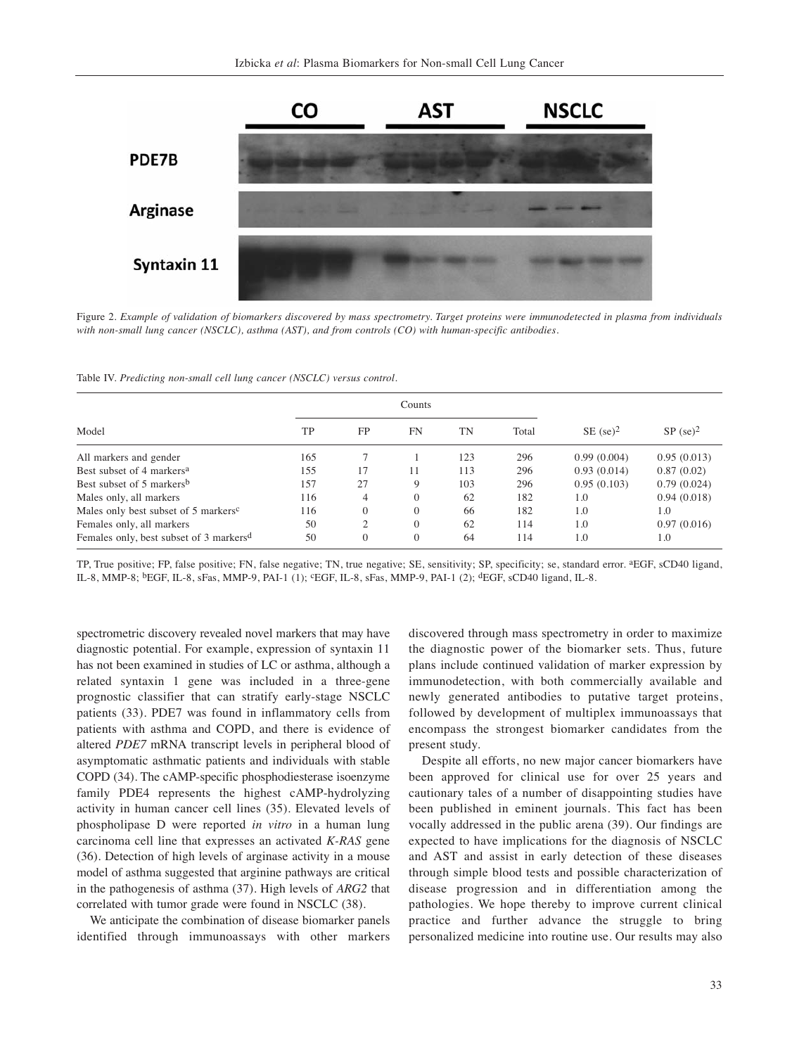

Figure 2. *Example of validation of biomarkers discovered by mass spectrometry. Target proteins were immunodetected in plasma from individuals with non-small lung cancer (NSCLC), asthma (AST), and from controls (CO) with human-specific antibodies.*

Table IV. *Predicting non-small cell lung cancer (NSCLC) versus control.*

|                                                     |     | Counts         |           |           |       |                        |             |
|-----------------------------------------------------|-----|----------------|-----------|-----------|-------|------------------------|-------------|
| Model                                               | TP  | FP             | <b>FN</b> | <b>TN</b> | Total | $SE$ (se) <sup>2</sup> | $SP (se)^2$ |
| All markers and gender                              | 165 |                |           | 123       | 296   | 0.99(0.004)            | 0.95(0.013) |
| Best subset of 4 markers <sup>a</sup>               | 155 | 17             | 11        | 113       | 296   | 0.93(0.014)            | 0.87(0.02)  |
| Best subset of 5 markers <sup>b</sup>               | 157 | 27             | 9         | 103       | 296   | 0.95(0.103)            | 0.79(0.024) |
| Males only, all markers                             | 116 | 4              | $\Omega$  | 62        | 182   | 1.0                    | 0.94(0.018) |
| Males only best subset of 5 markers <sup>c</sup>    | 116 | $\Omega$       | $\Omega$  | 66        | 182   | 1.0                    | 1.0         |
| Females only, all markers                           | 50  | $\mathfrak{D}$ | $\Omega$  | 62        | 114   | 1.0                    | 0.97(0.016) |
| Females only, best subset of 3 markers <sup>d</sup> | 50  | $\Omega$       | $\Omega$  | 64        | 114   | 1.0                    | 1.0         |

TP, True positive; FP, false positive; FN, false negative; TN, true negative; SE, sensitivity; SP, specificity; se, standard error. <sup>a</sup>EGF, sCD40 ligand, IL-8, MMP-8; bEGF, IL-8, sFas, MMP-9, PAI-1 (1); cEGF, IL-8, sFas, MMP-9, PAI-1 (2); dEGF, sCD40 ligand, IL-8.

spectrometric discovery revealed novel markers that may have diagnostic potential. For example, expression of syntaxin 11 has not been examined in studies of LC or asthma, although a related syntaxin 1 gene was included in a three-gene prognostic classifier that can stratify early-stage NSCLC patients (33). PDE7 was found in inflammatory cells from patients with asthma and COPD, and there is evidence of altered *PDE7* mRNA transcript levels in peripheral blood of asymptomatic asthmatic patients and individuals with stable COPD (34). The cAMP-specific phosphodiesterase isoenzyme family PDE4 represents the highest cAMP-hydrolyzing activity in human cancer cell lines (35). Elevated levels of phospholipase D were reported *in vitro* in a human lung carcinoma cell line that expresses an activated *K-RAS* gene (36). Detection of high levels of arginase activity in a mouse model of asthma suggested that arginine pathways are critical in the pathogenesis of asthma (37). High levels of *ARG2* that correlated with tumor grade were found in NSCLC (38).

We anticipate the combination of disease biomarker panels identified through immunoassays with other markers discovered through mass spectrometry in order to maximize the diagnostic power of the biomarker sets. Thus, future plans include continued validation of marker expression by immunodetection, with both commercially available and newly generated antibodies to putative target proteins, followed by development of multiplex immunoassays that encompass the strongest biomarker candidates from the present study.

Despite all efforts, no new major cancer biomarkers have been approved for clinical use for over 25 years and cautionary tales of a number of disappointing studies have been published in eminent journals. This fact has been vocally addressed in the public arena (39). Our findings are expected to have implications for the diagnosis of NSCLC and AST and assist in early detection of these diseases through simple blood tests and possible characterization of disease progression and in differentiation among the pathologies. We hope thereby to improve current clinical practice and further advance the struggle to bring personalized medicine into routine use. Our results may also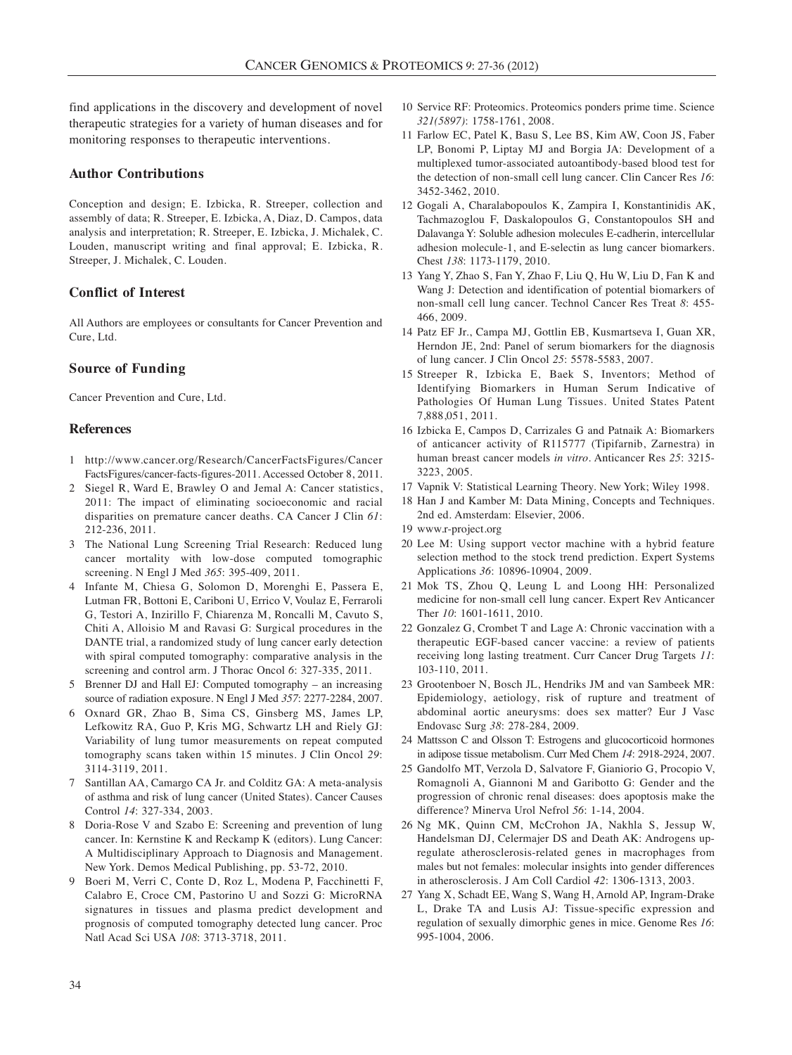find applications in the discovery and development of novel therapeutic strategies for a variety of human diseases and for monitoring responses to therapeutic interventions.

## **Author Contributions**

Conception and design; E. Izbicka, R. Streeper, collection and assembly of data; R. Streeper, E. Izbicka, A, Diaz, D. Campos, data analysis and interpretation; R. Streeper, E. Izbicka, J. Michalek, C. Louden, manuscript writing and final approval; E. Izbicka, R. Streeper, J. Michalek, C. Louden.

## **Conflict of Interest**

All Authors are employees or consultants for Cancer Prevention and Cure, Ltd.

## **Source of Funding**

Cancer Prevention and Cure, Ltd.

## **References**

- 1 http://www.cancer.org/Research/CancerFactsFigures/Cancer FactsFigures/cancer-facts-figures-2011. Accessed October 8, 2011.
- 2 Siegel R, Ward E, Brawley O and Jemal A: Cancer statistics, 2011: The impact of eliminating socioeconomic and racial disparities on premature cancer deaths. CA Cancer J Clin *61*: 212-236, 2011.
- 3 The National Lung Screening Trial Research: Reduced lung cancer mortality with low-dose computed tomographic screening. N Engl J Med *365*: 395-409, 2011.
- 4 Infante M, Chiesa G, Solomon D, Morenghi E, Passera E, Lutman FR, Bottoni E, Cariboni U, Errico V, Voulaz E, Ferraroli G, Testori A, Inzirillo F, Chiarenza M, Roncalli M, Cavuto S, Chiti A, Alloisio M and Ravasi G: Surgical procedures in the DANTE trial, a randomized study of lung cancer early detection with spiral computed tomography: comparative analysis in the screening and control arm. J Thorac Oncol *6*: 327-335, 2011.
- 5 Brenner DJ and Hall EJ: Computed tomography an increasing source of radiation exposure. N Engl J Med *357*: 2277-2284, 2007.
- 6 Oxnard GR, Zhao B, Sima CS, Ginsberg MS, James LP, Lefkowitz RA, Guo P, Kris MG, Schwartz LH and Riely GJ: Variability of lung tumor measurements on repeat computed tomography scans taken within 15 minutes. J Clin Oncol *29*: 3114-3119, 2011.
- 7 Santillan AA, Camargo CA Jr. and Colditz GA: A meta-analysis of asthma and risk of lung cancer (United States). Cancer Causes Control *14*: 327-334, 2003.
- 8 Doria-Rose V and Szabo E: Screening and prevention of lung cancer. In: Kernstine K and Reckamp K (editors). Lung Cancer: A Multidisciplinary Approach to Diagnosis and Management. New York. Demos Medical Publishing, pp. 53-72, 2010.
- 9 Boeri M, Verri C, Conte D, Roz L, Modena P, Facchinetti F, Calabro E, Croce CM, Pastorino U and Sozzi G: MicroRNA signatures in tissues and plasma predict development and prognosis of computed tomography detected lung cancer. Proc Natl Acad Sci USA *108*: 3713-3718, 2011.
- 10 Service RF: Proteomics. Proteomics ponders prime time. Science *321(5897)*: 1758-1761, 2008.
- 11 Farlow EC, Patel K, Basu S, Lee BS, Kim AW, Coon JS, Faber LP, Bonomi P, Liptay MJ and Borgia JA: Development of a multiplexed tumor-associated autoantibody-based blood test for the detection of non-small cell lung cancer. Clin Cancer Res *16*: 3452-3462, 2010.
- 12 Gogali A, Charalabopoulos K, Zampira I, Konstantinidis AK, Tachmazoglou F, Daskalopoulos G, Constantopoulos SH and Dalavanga Y: Soluble adhesion molecules E-cadherin, intercellular adhesion molecule-1, and E-selectin as lung cancer biomarkers. Chest *138*: 1173-1179, 2010.
- 13 Yang Y, Zhao S, Fan Y, Zhao F, Liu Q, Hu W, Liu D, Fan K and Wang J: Detection and identification of potential biomarkers of non-small cell lung cancer. Technol Cancer Res Treat *8*: 455- 466, 2009.
- 14 Patz EF Jr., Campa MJ, Gottlin EB, Kusmartseva I, Guan XR, Herndon JE, 2nd: Panel of serum biomarkers for the diagnosis of lung cancer. J Clin Oncol *25*: 5578-5583, 2007.
- 15 Streeper R, Izbicka E, Baek S, Inventors; Method of Identifying Biomarkers in Human Serum Indicative of Pathologies Of Human Lung Tissues. United States Patent 7,888,051, 2011.
- 16 Izbicka E, Campos D, Carrizales G and Patnaik A: Biomarkers of anticancer activity of R115777 (Tipifarnib, Zarnestra) in human breast cancer models *in vitro*. Anticancer Res *25*: 3215- 3223, 2005.
- 17 Vapnik V: Statistical Learning Theory. New York; Wiley 1998.
- 18 Han J and Kamber M: Data Mining, Concepts and Techniques. 2nd ed. Amsterdam: Elsevier, 2006.
- 19 www.r-project.org
- 20 Lee M: Using support vector machine with a hybrid feature selection method to the stock trend prediction. Expert Systems Applications *36*: 10896-10904, 2009.
- 21 Mok TS, Zhou Q, Leung L and Loong HH: Personalized medicine for non-small cell lung cancer. Expert Rev Anticancer Ther *10*: 1601-1611, 2010.
- 22 Gonzalez G, Crombet T and Lage A: Chronic vaccination with a therapeutic EGF-based cancer vaccine: a review of patients receiving long lasting treatment. Curr Cancer Drug Targets *11*: 103-110, 2011.
- 23 Grootenboer N, Bosch JL, Hendriks JM and van Sambeek MR: Epidemiology, aetiology, risk of rupture and treatment of abdominal aortic aneurysms: does sex matter? Eur J Vasc Endovasc Surg *38*: 278-284, 2009.
- 24 Mattsson C and Olsson T: Estrogens and glucocorticoid hormones in adipose tissue metabolism. Curr Med Chem *14*: 2918-2924, 2007.
- 25 Gandolfo MT, Verzola D, Salvatore F, Gianiorio G, Procopio V, Romagnoli A, Giannoni M and Garibotto G: Gender and the progression of chronic renal diseases: does apoptosis make the difference? Minerva Urol Nefrol *56*: 1-14, 2004.
- 26 Ng MK, Quinn CM, McCrohon JA, Nakhla S, Jessup W, Handelsman DJ, Celermajer DS and Death AK: Androgens upregulate atherosclerosis-related genes in macrophages from males but not females: molecular insights into gender differences in atherosclerosis. J Am Coll Cardiol *42*: 1306-1313, 2003.
- 27 Yang X, Schadt EE, Wang S, Wang H, Arnold AP, Ingram-Drake L, Drake TA and Lusis AJ: Tissue-specific expression and regulation of sexually dimorphic genes in mice. Genome Res *16*: 995-1004, 2006.